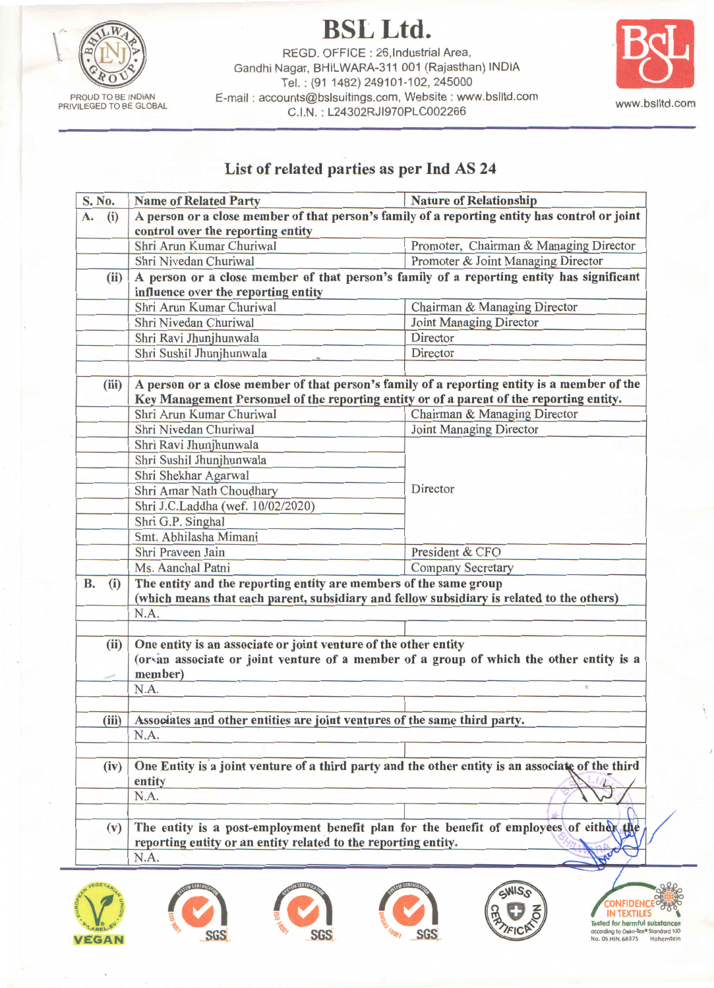PROUD TO BE INDIAN<br>PRIVILEGED TO BE GLOBAL

**BSL Ltd.** REGD. OFFICE: 26, Industrial Area, Gandhi Nagar, BHILWARA-311 001 (Rajasthan) INDIA Tel.: (91 1482) 249101-102, 245000 E-mail: accounts@bslsuitings.com, Website: www.bslltd.com C.I.N.: L24302RJI970PLC002266



## List of related parties as per Ind AS 24

| S. No.    |       | <b>Name of Related Party</b>                                                                                                                              | <b>Nature of Relationship</b>          |  |
|-----------|-------|-----------------------------------------------------------------------------------------------------------------------------------------------------------|----------------------------------------|--|
| A.        | (i)   | A person or a close member of that person's family of a reporting entity has control or joint                                                             |                                        |  |
|           |       | control over the reporting entity                                                                                                                         |                                        |  |
|           |       | Shri Arun Kumar Churiwal                                                                                                                                  | Promoter, Chairman & Managing Director |  |
|           |       | Shri Nivedan Churiwal                                                                                                                                     | Promoter & Joint Managing Director     |  |
| (ii)      |       | A person or a close member of that person's family of a reporting entity has significant<br>influence over the reporting entity                           |                                        |  |
|           |       | Shri Arun Kumar Churiwal                                                                                                                                  | Chairman & Managing Director           |  |
|           |       | Shri Nivedan Churiwal                                                                                                                                     | Joint Managing Director                |  |
|           |       | Shri Ravi Jhunjhunwala                                                                                                                                    | Director                               |  |
|           |       | Shri Sushil Jhunjhunwala                                                                                                                                  | Director                               |  |
|           | (iii) | A person or a close member of that person's family of a reporting entity is a member of the                                                               |                                        |  |
|           |       | Key Management Personnel of the reporting entity or of a parent of the reporting entity.                                                                  |                                        |  |
|           |       | Shri Arun Kumar Churiwal                                                                                                                                  | Chairman & Managing Director           |  |
|           |       | Shri Nivedan Churiwal                                                                                                                                     | Joint Managing Director                |  |
|           |       | Shri Ravi Jhunjhunwala                                                                                                                                    |                                        |  |
|           |       | Shri Sushil Jhunjhunwala                                                                                                                                  |                                        |  |
|           |       | Shri Shekhar Agarwal                                                                                                                                      |                                        |  |
|           |       | Shri Amar Nath Choudhary                                                                                                                                  | Director                               |  |
|           |       | Shri J.C.Laddha (wef. 10/02/2020)                                                                                                                         |                                        |  |
|           |       | Shri G.P. Singhal                                                                                                                                         |                                        |  |
|           |       | Smt. Abhilasha Mimani                                                                                                                                     |                                        |  |
|           |       | Shri Praveen Jain                                                                                                                                         | President & CFO                        |  |
|           |       | Ms. Aanchal Patni                                                                                                                                         | <b>Company Secretary</b>               |  |
| <b>B.</b> | (i)   | The entity and the reporting entity are members of the same group                                                                                         |                                        |  |
|           |       | (which means that each parent, subsidiary and fellow subsidiary is related to the others)                                                                 |                                        |  |
|           |       | N.A.                                                                                                                                                      |                                        |  |
|           |       |                                                                                                                                                           |                                        |  |
|           | (ii)  | One entity is an associate or joint venture of the other entity                                                                                           |                                        |  |
|           |       | (orvan associate or joint venture of a member of a group of which the other entity is a                                                                   |                                        |  |
|           |       | member)<br>N.A.                                                                                                                                           | 裕                                      |  |
|           |       |                                                                                                                                                           |                                        |  |
|           | (iii) | Associates and other entities are joint ventures of the same third party.                                                                                 |                                        |  |
|           |       | N.A.                                                                                                                                                      |                                        |  |
|           |       |                                                                                                                                                           |                                        |  |
| (iv)      |       | One Entity is a joint venture of a third party and the other entity is an associate of the third<br>entity                                                |                                        |  |
|           |       | N.A.                                                                                                                                                      |                                        |  |
|           |       |                                                                                                                                                           |                                        |  |
| (v)       |       | The entity is a post-employment benefit plan for the benefit of employees of either the<br>reporting entity or an entity related to the reporting entity. |                                        |  |
|           |       | N.A.                                                                                                                                                      |                                        |  |
|           |       |                                                                                                                                                           |                                        |  |